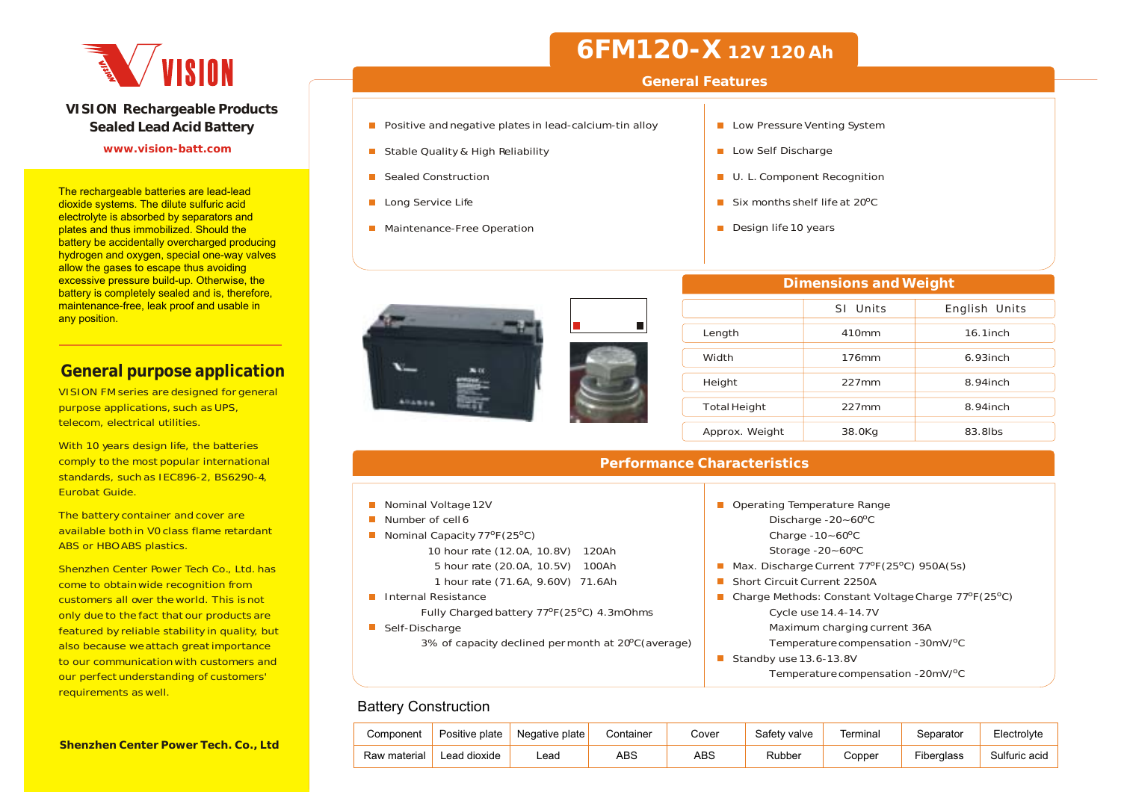

#### **VISION Rechargeable Products Sealed Lead Acid Battery**

#### **www.vision-batt.com**

The rechargeable batteries are lead-lead dioxide systems. The dilute sulfuric acid electrolyte is absorbed by separators and plates and thus immobilized. Should the battery be accidentally overcharged producing hydrogen and oxygen, special one-way valves allow the gases to escape thus avoiding excessive pressure build-up. Otherwise, the battery is completely sealed and is, therefore, maintenance-free, leak proof and usable in any position.

### **General purpose application**

VISION FM series are designed for general purpose applications, such as UPS, telecom, electrical utilities.

With 10 years design life, the batteries comply to the most popular international standards, such as IEC896-2, BS6290-4, Eurobat Guide.

The battery container and cover are available both in V0 class flame retardantABS or HBO ABS plastics.

Shenzhen Center Power Tech Co., Ltd. has come to obtain wide recognition from customers all over the world. This is not only due to the fact that our products are featured by reliable stability in quality, but also because weattach great importance to our communication with customers and our perfect understanding of customers' requirements as well.

# **6FM120-X 12V 120 Ah**

#### **General Features**

 $\blacksquare$ 

- $\blacksquare$  Positive and negative plates in lead-calcium-tin alloy
- Stable Quality & High Reliability
- Sealed Construction
- **Long Service Life**
- **Maintenance-Free Operation**
- Low Pressure Venting System
- Low Self Discharge
- U. L. Component Recognition
- Six months shelf life at 20ºC
- Design life 10 years



|              | SI Units | English Units |
|--------------|----------|---------------|
| Length       | 410mm    | $16.1$ inch   |
| Width        | 176mm    | $6.93$ inch   |
| Height       | $227$ mm | $8.94$ inch   |
| Total Height | $227$ mm | 8.94inch      |

Approx. Weight 38.0Kg 83.8lbs

**Dimensions and Weight**

| <b>Performance Characteristics</b>                                                                                                                                                                                            |                                                                                                                                                                                                                                                     |  |  |  |  |  |  |  |  |  |  |  |  |
|-------------------------------------------------------------------------------------------------------------------------------------------------------------------------------------------------------------------------------|-----------------------------------------------------------------------------------------------------------------------------------------------------------------------------------------------------------------------------------------------------|--|--|--|--|--|--|--|--|--|--|--|--|
|                                                                                                                                                                                                                               |                                                                                                                                                                                                                                                     |  |  |  |  |  |  |  |  |  |  |  |  |
| Nominal Voltage 12V<br>Number of cell6<br>Nominal Capacity $77^{\circ}F(25^{\circ}C)$<br>10 hour rate (12.0A, 10.8V)<br>120Ah<br>5 hour rate (20.0A, 10.5V) 100Ah<br>1 hour rate (71.6A, 9.60V) 71.6Ah<br>Internal Resistance | Operating Temperature Range<br>Discharge -20~60°C<br>Charge $-10 - 60^{\circ}$ C<br>Storage $-20 - 60^{\circ}$ C<br>Max. Discharge Current 77°F(25°C) 950A(5s)<br>Short Circuit Current 2250A<br>Charge Methods: Constant Voltage Charge 77°F(25°C) |  |  |  |  |  |  |  |  |  |  |  |  |
| Fully Charged battery 77°F (25°C) 4.3mOhms<br>Self-Discharge<br>3% of capacity declined permonth at 20°C (average)                                                                                                            | Cycle use 14.4-14.7V<br>Maximum charging current 36A<br>Temperature compensation -30mV/ <sup>o</sup> C<br>Standby use 13.6-13.8V<br>Temperature compensation -20mV/ <sup>o</sup> C                                                                  |  |  |  |  |  |  |  |  |  |  |  |  |

### Battery Construction

| Component    | Positive plate | Negative plate | Container | Cover | Safety valve | Γerminal | <i>S</i> eparator | Electrolyte   |
|--------------|----------------|----------------|-----------|-------|--------------|----------|-------------------|---------------|
| Raw material | Lead dioxide   | Lead.          | ABS       | ABS   | Rubber       | Copper   | Fiberglass        | Sulfuric acid |

#### **Shenzhen Center Power Tech. Co., Ltd**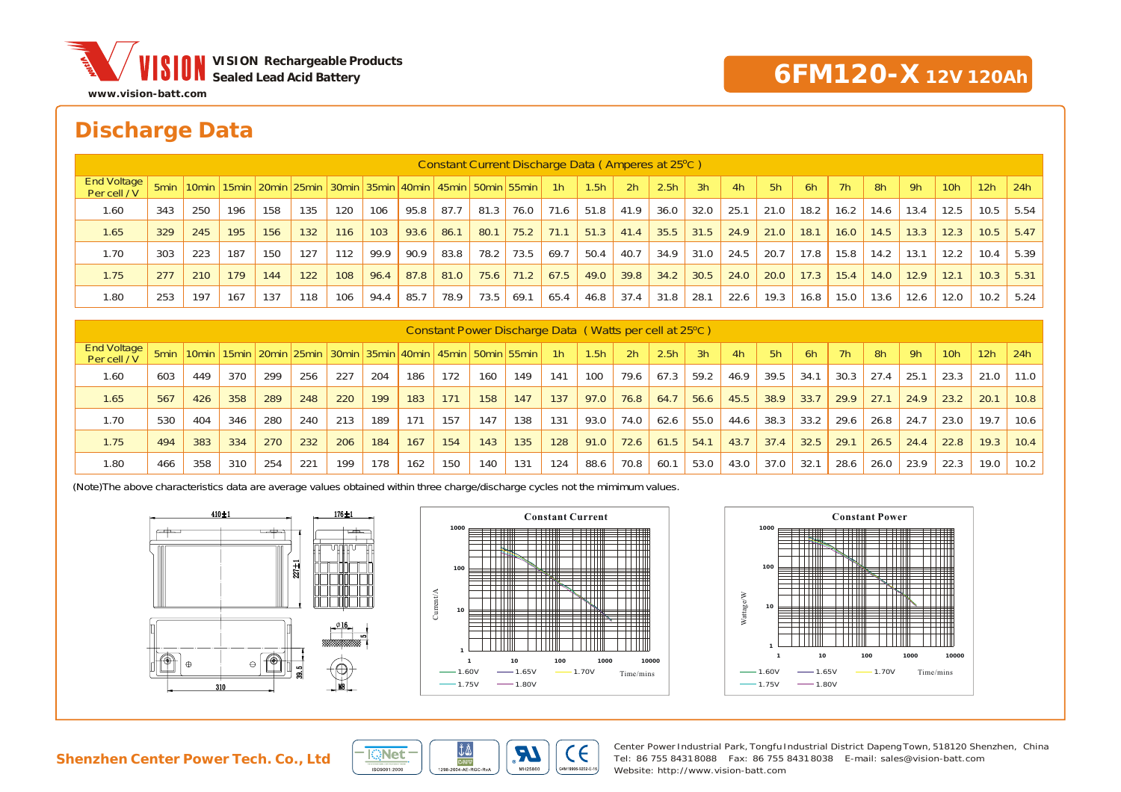

## **6FM120-X 12V 120Ah**

## **Discharge Data**

| Constant Current Discharge Data (Amperes at 25 °C) |                  |       |     |     |     |     |      |      |                                                                       |      |      |                |      |      |                  |      |      |      |      |      |      |      |                 |      |      |
|----------------------------------------------------|------------------|-------|-----|-----|-----|-----|------|------|-----------------------------------------------------------------------|------|------|----------------|------|------|------------------|------|------|------|------|------|------|------|-----------------|------|------|
| End Voltage<br>Per cell / V                        | 5 <sub>min</sub> | 10min |     |     |     |     |      |      | 15min   20min   25min   30min   35min   40min   45min   50min   55min |      |      | 1 <sup>h</sup> | 1.5h | 2h   | 2.5 <sub>h</sub> | 3h   | 4h   | 5h   | 6h   | 7h   | 8h   | 9h   | 10 <sub>h</sub> | 12h  | 24h  |
| 1.60                                               | 343              | 250   | 196 | 158 | 135 | 120 | 106  | 95.8 | 87.7                                                                  | 81.3 | 76.0 | 71.6           | 51.8 | 41.9 | 36.0             | 32.0 | 25.1 | 21.0 | 18.2 | 16.2 | 14.6 | 13.4 | 12.5            | 10.5 | 5.54 |
| 1.65                                               | 329              | 245   | 195 | 156 | 132 | 116 | 103  | 93.6 | 86.1                                                                  | 80.1 | 75.2 | 71.1           | 51.3 | 41.4 | 35.5             | 31.5 | 24.9 | 21.0 | 18.1 | 16.0 | 14.5 | 13.3 | 12.3            | 10.5 | 5.47 |
| 1.70                                               | 303              | 223   | 187 | 150 | 127 | 112 | 99.9 | 90.9 | 83.8                                                                  | 78.2 | 73.5 | 69.7           | 50.4 | 40.7 | 34.9             | 31.0 | 24.5 | 20.7 | 17.8 | 15.8 | 14.2 | 13.1 | 12.2            | 10.4 | 5.39 |
| 1.75                                               | 277              | 210   | 179 | 144 | 122 | 108 | 96.4 | 87.8 | 81.0                                                                  | 75.6 | 71.2 | 67.5           | 49.0 | 39.8 | 34.2             | 30.5 | 24.0 | 20.0 | 17.3 | 15.4 | 14.0 | 12.9 | 12.1            | 10.3 | 5.31 |
| 1.80                                               | 253              | 197   | 167 | 137 | 118 | 106 | 94.4 | 85.7 | 78.9                                                                  | 73.5 | 69.7 | 65.4           | 46.8 | 37.4 | 31.8             | 28.1 | 22.6 | 19.3 | 16.8 | 15.0 | 13.6 | 12.6 | 12.0            | 10.2 | 5.24 |
|                                                    |                  |       |     |     |     |     |      |      |                                                                       |      |      |                |      |      |                  |      |      |      |      |      |      |      |                 |      |      |

| Constant Power Discharge Data (Watts per cell at 25°C) |     |     |     |     |     |     |     |     |     |     |                                                                                                   |     |                  |                |                  |      |      |      |      |      |      |      |                 |      |            |
|--------------------------------------------------------|-----|-----|-----|-----|-----|-----|-----|-----|-----|-----|---------------------------------------------------------------------------------------------------|-----|------------------|----------------|------------------|------|------|------|------|------|------|------|-----------------|------|------------|
| <b>End Voltage</b><br>Per cell / V                     |     |     |     |     |     |     |     |     |     |     | 50 omin   10 omin   15 omin   20 omin   25 omin   30 omin   35 omin   40 omin   50 omin   55 omin | 1h  | 1.5 <sub>h</sub> | 2 <sub>h</sub> | 2.5 <sub>h</sub> | 3h   | 4h   | 5h   | 6h   | 7h   | 8h   | 9h   | 10 <sub>h</sub> | 12h  | <b>24h</b> |
| 1.60                                                   | 603 | 449 | 370 | 299 | 256 | 227 | 204 | 186 | 172 | 160 | 149                                                                                               | 141 | 100              | 79.6           | 67.3             | 59.2 | 46.9 | 39.5 | 34.1 | 30.3 | 27.4 | 25.1 | 23.3            | 21.0 | 11.0       |
| 1.65                                                   | 567 | 426 | 358 | 289 | 248 | 220 | 199 | 183 | 171 | 158 | 147                                                                                               | 137 | 97.0             | 76.8           | 64.7             | 56.6 | 45.5 | 38.9 | 33.7 | 29.9 | 27.1 | 24.9 | 23.2            | 20.1 | 10.8       |
| 1.70                                                   | 530 | 404 | 346 | 280 | 240 | 213 | 189 | 171 | 157 | 147 | 138                                                                                               | 131 | 93.0             | 74.0           | 62.6             | 55.0 | 44.6 | 38.3 | 33.2 | 29.6 | 26.8 | 24.7 | 23.0            | 19.7 | 10.6       |
| 1.75                                                   | 494 | 383 | 334 | 270 | 232 | 206 | 184 | 167 | 154 | 143 | 135                                                                                               | 128 | 91.0             | 72.6           | 61.5             | 54.1 | 43.7 | 37.4 | 32.5 | 29.1 | 26.5 | 24.4 | 22.8            | 19.3 | 10.4       |
| 1.80                                                   | 466 | 358 | 310 | 254 | 221 | 199 | 178 | 162 | 150 | 140 | 131                                                                                               | 124 | 88.6             | 70.8           | 60.1             | 53.0 | 43.0 | 37.0 | 32.1 | 28.6 | 26.0 | 23.9 | 22.3            | 19.0 | 10.2       |

(Note)The above characteristics data are average values obtained within three charge/discharge cycles not the mimimum values.









Center Power Industrial Park, Tongfu Industrial District Dapeng Town, 518120 Shenzhen, China Tel: 86 755 8431 8088 Fax: 86 755 8431 8038 E-mail: sales@vision-batt.com Website: http://www.vision-batt.com